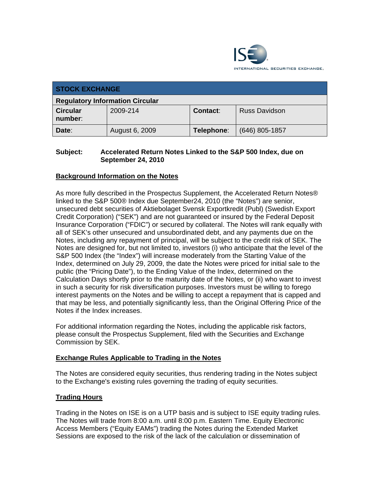

| <b>STOCK EXCHANGE</b>                  |                |                 |                      |  |  |
|----------------------------------------|----------------|-----------------|----------------------|--|--|
| <b>Regulatory Information Circular</b> |                |                 |                      |  |  |
| <b>Circular</b><br>number:             | 2009-214       | <b>Contact:</b> | <b>Russ Davidson</b> |  |  |
| Date:                                  | August 6, 2009 | Telephone:      | $(646)$ 805-1857     |  |  |

#### **Subject: Accelerated Return Notes Linked to the S&P 500 Index, due on September 24, 2010**

### **Background Information on the Notes**

As more fully described in the Prospectus Supplement, the Accelerated Return Notes® linked to the S&P 500® Index due September24, 2010 (the "Notes") are senior, unsecured debt securities of Aktiebolaget Svensk Exportkredit (Publ) (Swedish Export Credit Corporation) ("SEK") and are not guaranteed or insured by the Federal Deposit Insurance Corporation ("FDIC") or secured by collateral. The Notes will rank equally with all of SEK's other unsecured and unsubordinated debt, and any payments due on the Notes, including any repayment of principal, will be subject to the credit risk of SEK. The Notes are designed for, but not limited to, investors (i) who anticipate that the level of the S&P 500 Index (the "Index") will increase moderately from the Starting Value of the Index, determined on July 29, 2009, the date the Notes were priced for initial sale to the public (the "Pricing Date"), to the Ending Value of the Index, determined on the Calculation Days shortly prior to the maturity date of the Notes, or (ii) who want to invest in such a security for risk diversification purposes. Investors must be willing to forego interest payments on the Notes and be willing to accept a repayment that is capped and that may be less, and potentially significantly less, than the Original Offering Price of the Notes if the Index increases.

For additional information regarding the Notes, including the applicable risk factors, please consult the Prospectus Supplement, filed with the Securities and Exchange Commission by SEK.

#### **Exchange Rules Applicable to Trading in the Notes**

The Notes are considered equity securities, thus rendering trading in the Notes subject to the Exchange's existing rules governing the trading of equity securities.

## **Trading Hours**

Trading in the Notes on ISE is on a UTP basis and is subject to ISE equity trading rules. The Notes will trade from 8:00 a.m. until 8:00 p.m. Eastern Time. Equity Electronic Access Members ("Equity EAMs") trading the Notes during the Extended Market Sessions are exposed to the risk of the lack of the calculation or dissemination of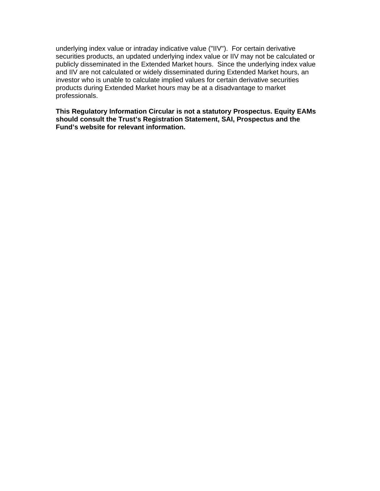underlying index value or intraday indicative value ("IIV"). For certain derivative securities products, an updated underlying index value or IIV may not be calculated or publicly disseminated in the Extended Market hours. Since the underlying index value and IIV are not calculated or widely disseminated during Extended Market hours, an investor who is unable to calculate implied values for certain derivative securities products during Extended Market hours may be at a disadvantage to market professionals.

**This Regulatory Information Circular is not a statutory Prospectus. Equity EAMs should consult the Trust's Registration Statement, SAI, Prospectus and the Fund's website for relevant information.**